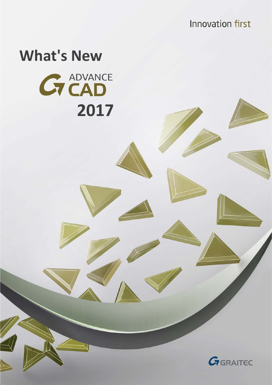**Innovation first** 

# **What's New**

**G** ADVANCE

 **2017**

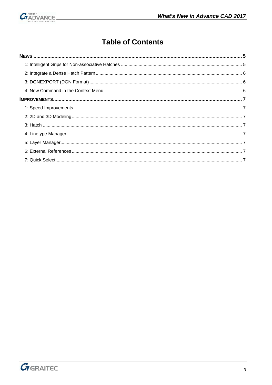

# **Table of Contents**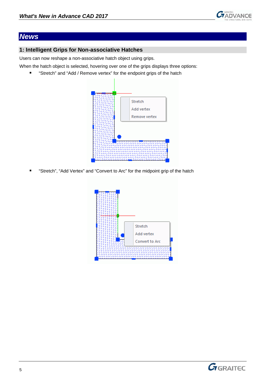

# <span id="page-4-0"></span>*News*

## <span id="page-4-1"></span>**1: Intelligent Grips for Non-associative Hatches**

Users can now reshape a non-associative hatch object using grips.

When the hatch object is selected, hovering over one of the grips displays three options:

■ "Stretch" and "Add / Remove vertex" for the endpoint grips of the hatch



"Stretch", "Add Vertex" and "Convert to Arc" for the midpoint grip of the hatch



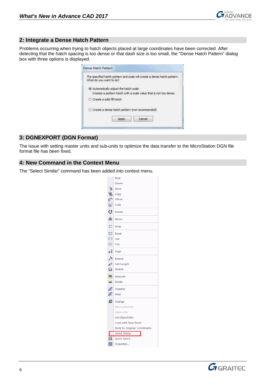

#### <span id="page-5-0"></span>**2: Integrate a Dense Hatch Pattern**

Problems occurring when trying to hatch objects placed at large coordinates have been corrected. After detecting that the hatch spacing is too dense or that dash size is too small, the "Dense Hatch Pattern" dialog box with three options is displayed.

| The specified hatch pattern and scale will create a dense hatch pattern.<br>What do you want to do? |
|-----------------------------------------------------------------------------------------------------|
| Automatically adjust the hatch scale                                                                |
| Creates a pattern hatch with a scale value that is not too dense.<br>Create a solid fill hatch      |
| Create a dense hatch pattern (not recommended)                                                      |
| Cancel                                                                                              |

## <span id="page-5-1"></span>**3: DGNEXPORT (DGN Format)**

The issue with setting master units and sub-units to optimize the data transfer to the MicroStation DGN file format file has been fixed.

#### <span id="page-5-2"></span>**4: New Command in the Context Menu**

The "Select Similar" command has been added into context menu.

|                | Print                         |
|----------------|-------------------------------|
|                | Delete                        |
| r T            | Move                          |
| 몁              | Copy                          |
|                | <mark>ු</mark> ි Offset       |
| ä.             | Scale                         |
| Ø              | Rotate                        |
| 4Ъ             | Mirror                        |
| Ħ.             | Array                         |
| Ľ1.            | <b>Break</b>                  |
| $\Box$         | Join                          |
| ₫.             | Trim                          |
| a1             | Align                         |
| ≻              | Extend                        |
|                | $\mathscr{P}$ Edit Length     |
| $\blacksquare$ | Stretch                       |
| 靐              | Measure                       |
| <u>letet</u>   | <b>Divide</b>                 |
| ╱              | Chamfer                       |
| ╱              | Fillet                        |
| 画              | Change                        |
|                | Play Audionote                |
|                | Open Link                     |
|                | List Object Info              |
|                | Copy with Base Point          |
|                | Paste to Original Coordinates |
|                | <b>Select Similar</b>         |
| 绿              | Quick Select                  |
| œ              | Properties                    |

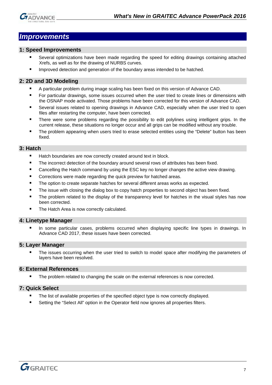

## <span id="page-6-0"></span>*Improvements*

#### <span id="page-6-1"></span>**1: Speed Improvements**

- Several optimizations have been made regarding the speed for editing drawings containing attached Xrefs, as well as for the drawing of NURBS curves.
- Improved detection and generation of the boundary areas intended to be hatched.

### <span id="page-6-2"></span>**2: 2D and 3D Modeling**

- A particular problem during image scaling has been fixed on this version of Advance CAD.
- **For particular drawings, some issues occurred when the user tried to create lines or dimensions with** the OSNAP mode activated. Those problems have been corrected for this version of Advance CAD.
- Several issues related to opening drawings in Advance CAD, especially when the user tried to open files after restarting the computer, have been corrected.
- There were some problems regarding the possibility to edit polylines using intelligent grips. In the current release, these situations no longer occur and all grips can be modified without any trouble.
- **The problem appearing when users tried to erase selected entities using the "Delete" button has been** fixed.

#### <span id="page-6-3"></span>**3: Hatch**

- Hatch boundaries are now correctly created around text in block.
- **The incorrect detection of the boundary around several rows of attributes has been fixed.**
- Cancelling the Hatch command by using the ESC key no longer changes the active view drawing.
- **EXECO CORRECT** Corrections were made regarding the quick preview for hatched areas.
- The option to create separate hatches for several different areas works as expected.
- The issue with closing the dialog box to copy hatch properties to second object has been fixed.
- The problem related to the display of the transparency level for hatches in the visual styles has now been corrected.
- The Hatch Area is now correctly calculated.

#### <span id="page-6-4"></span>**4: Linetype Manager**

 In some particular cases, problems occurred when displaying specific line types in drawings. In Advance CAD 2017, these issues have been corrected.

#### <span id="page-6-5"></span>**5: Layer Manager**

 The issues occurring when the user tried to switch to model space after modifying the parameters of layers have been resolved.

#### <span id="page-6-6"></span>**6: External References**

**The problem related to changing the scale on the external references is now corrected.** 

#### <span id="page-6-7"></span>**7: Quick Select**

- **The list of available properties of the specified object type is now correctly displayed.**
- Setting the "Select All" option in the Operator field now ignores all properties filters.